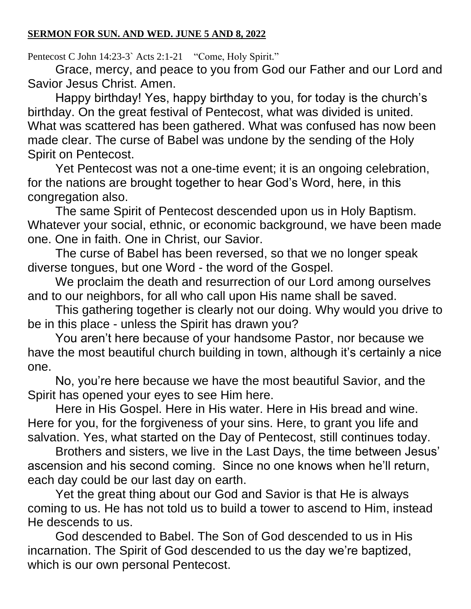Pentecost C John 14:23-3` Acts 2:1-21 "Come, Holy Spirit."

Grace, mercy, and peace to you from God our Father and our Lord and Savior Jesus Christ. Amen.

Happy birthday! Yes, happy birthday to you, for today is the church's birthday. On the great festival of Pentecost, what was divided is united. What was scattered has been gathered. What was confused has now been made clear. The curse of Babel was undone by the sending of the Holy Spirit on Pentecost.

Yet Pentecost was not a one-time event; it is an ongoing celebration, for the nations are brought together to hear God's Word, here, in this congregation also.

The same Spirit of Pentecost descended upon us in Holy Baptism. Whatever your social, ethnic, or economic background, we have been made one. One in faith. One in Christ, our Savior.

The curse of Babel has been reversed, so that we no longer speak diverse tongues, but one Word - the word of the Gospel.

We proclaim the death and resurrection of our Lord among ourselves and to our neighbors, for all who call upon His name shall be saved.

This gathering together is clearly not our doing. Why would you drive to be in this place - unless the Spirit has drawn you?

You aren't here because of your handsome Pastor, nor because we have the most beautiful church building in town, although it's certainly a nice one.

No, you're here because we have the most beautiful Savior, and the Spirit has opened your eyes to see Him here.

Here in His Gospel. Here in His water. Here in His bread and wine. Here for you, for the forgiveness of your sins. Here, to grant you life and salvation. Yes, what started on the Day of Pentecost, still continues today.

Brothers and sisters, we live in the Last Days, the time between Jesus' ascension and his second coming. Since no one knows when he'll return, each day could be our last day on earth.

Yet the great thing about our God and Savior is that He is always coming to us. He has not told us to build a tower to ascend to Him, instead He descends to us.

God descended to Babel. The Son of God descended to us in His incarnation. The Spirit of God descended to us the day we're baptized, which is our own personal Pentecost.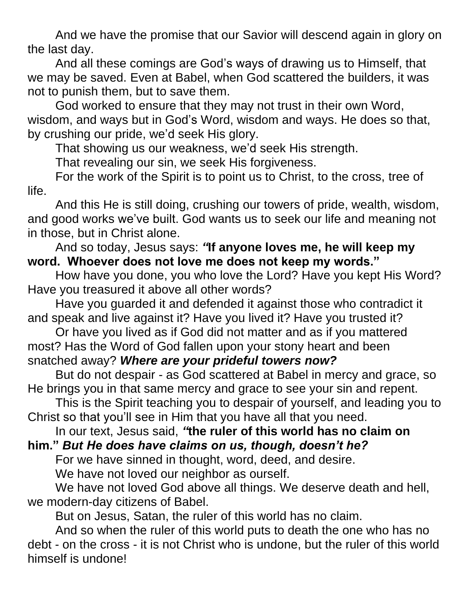And we have the promise that our Savior will descend again in glory on the last day.

And all these comings are God's ways of drawing us to Himself, that we may be saved. Even at Babel, when God scattered the builders, it was not to punish them, but to save them.

God worked to ensure that they may not trust in their own Word, wisdom, and ways but in God's Word, wisdom and ways. He does so that, by crushing our pride, we'd seek His glory.

That showing us our weakness, we'd seek His strength.

That revealing our sin, we seek His forgiveness.

For the work of the Spirit is to point us to Christ, to the cross, tree of life.

And this He is still doing, crushing our towers of pride, wealth, wisdom, and good works we've built. God wants us to seek our life and meaning not in those, but in Christ alone.

## And so today, Jesus says: *"***If anyone loves me, he will keep my word. Whoever does not love me does not keep my words."**

How have you done, you who love the Lord? Have you kept His Word? Have you treasured it above all other words?

Have you guarded it and defended it against those who contradict it and speak and live against it? Have you lived it? Have you trusted it?

Or have you lived as if God did not matter and as if you mattered most? Has the Word of God fallen upon your stony heart and been snatched away? *Where are your prideful towers now?*

But do not despair - as God scattered at Babel in mercy and grace, so He brings you in that same mercy and grace to see your sin and repent.

This is the Spirit teaching you to despair of yourself, and leading you to Christ so that you'll see in Him that you have all that you need.

In our text, Jesus said, *"***the ruler of this world has no claim on him."** *But He does have claims on us, though, doesn't he?*

For we have sinned in thought, word, deed, and desire.

We have not loved our neighbor as ourself.

We have not loved God above all things. We deserve death and hell, we modern-day citizens of Babel.

But on Jesus, Satan, the ruler of this world has no claim.

And so when the ruler of this world puts to death the one who has no debt - on the cross - it is not Christ who is undone, but the ruler of this world himself is undone!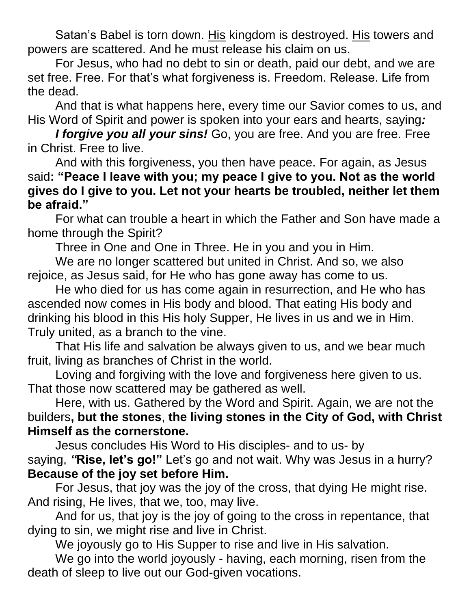Satan's Babel is torn down. His kingdom is destroyed. His towers and powers are scattered. And he must release his claim on us.

For Jesus, who had no debt to sin or death, paid our debt, and we are set free. Free. For that's what forgiveness is. Freedom. Release. Life from the dead.

And that is what happens here, every time our Savior comes to us, and His Word of Spirit and power is spoken into your ears and hearts, saying*:*

*I forgive you all your sins!* Go, you are free. And you are free. Free in Christ. Free to live.

And with this forgiveness, you then have peace. For again, as Jesus said**: "Peace I leave with you; my peace I give to you. Not as the world gives do I give to you. Let not your hearts be troubled, neither let them be afraid."**

For what can trouble a heart in which the Father and Son have made a home through the Spirit?

Three in One and One in Three. He in you and you in Him.

We are no longer scattered but united in Christ. And so, we also rejoice, as Jesus said, for He who has gone away has come to us.

He who died for us has come again in resurrection, and He who has ascended now comes in His body and blood. That eating His body and drinking his blood in this His holy Supper, He lives in us and we in Him. Truly united, as a branch to the vine.

That His life and salvation be always given to us, and we bear much fruit, living as branches of Christ in the world.

Loving and forgiving with the love and forgiveness here given to us. That those now scattered may be gathered as well.

Here, with us. Gathered by the Word and Spirit. Again, we are not the builders**, but the stones**, **the living stones in the City of God, with Christ Himself as the cornerstone.**

Jesus concludes His Word to His disciples- and to us- by saying, *"***Rise, let's go!"** Let's go and not wait. Why was Jesus in a hurry? **Because of the joy set before Him.**

For Jesus, that joy was the joy of the cross, that dying He might rise. And rising, He lives, that we, too, may live.

And for us, that joy is the joy of going to the cross in repentance, that dying to sin, we might rise and live in Christ.

We joyously go to His Supper to rise and live in His salvation.

We go into the world joyously - having, each morning, risen from the death of sleep to live out our God-given vocations.